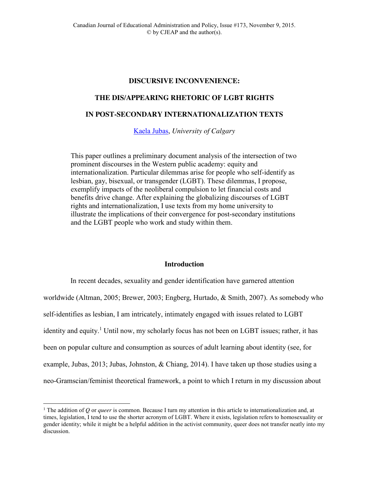## **DISCURSIVE INCONVENIENCE:**

## **THE DIS/APPEARING RHETORIC OF LGBT RIGHTS**

# **IN POST-SECONDARY INTERNATIONALIZATION TEXTS**

[Kaela Jubas,](mailto:kjubas@ucalgary.ca) *University of Calgary*

This paper outlines a preliminary document analysis of the intersection of two prominent discourses in the Western public academy: equity and internationalization. Particular dilemmas arise for people who self-identify as lesbian, gay, bisexual, or transgender (LGBT). These dilemmas, I propose, exemplify impacts of the neoliberal compulsion to let financial costs and benefits drive change. After explaining the globalizing discourses of LGBT rights and internationalization, I use texts from my home university to illustrate the implications of their convergence for post-secondary institutions and the LGBT people who work and study within them.

### **Introduction**

In recent decades, sexuality and gender identification have garnered attention worldwide (Altman, 2005; Brewer, 2003; Engberg, Hurtado, & Smith, 2007). As somebody who self-identifies as lesbian, I am intricately, intimately engaged with issues related to LGBT identity and equity.<sup>1</sup> Until now, my scholarly focus has not been on LGBT issues; rather, it has been on popular culture and consumption as sources of adult learning about identity (see, for example, Jubas, 2013; Jubas, Johnston, & Chiang, 2014). I have taken up those studies using a neo-Gramscian/feminist theoretical framework, a point to which I return in my discussion about

 $\overline{a}$ 

<sup>&</sup>lt;sup>1</sup> The addition of *Q* or *queer* is common. Because I turn my attention in this article to internationalization and, at times, legislation, I tend to use the shorter acronym of LGBT. Where it exists, legislation refers to homosexuality or gender identity; while it might be a helpful addition in the activist community, queer does not transfer neatly into my discussion.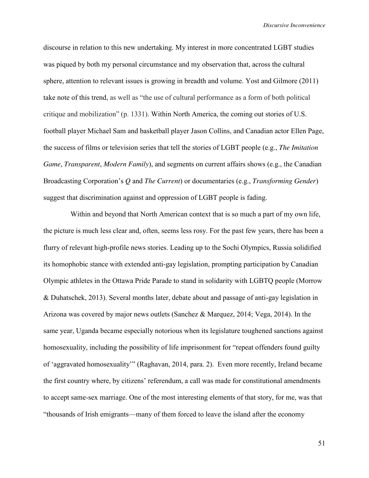*Discursive Inconvenience*

discourse in relation to this new undertaking. My interest in more concentrated LGBT studies was piqued by both my personal circumstance and my observation that, across the cultural sphere, attention to relevant issues is growing in breadth and volume. Yost and Gilmore (2011) take note of this trend, as well as "the use of cultural performance as a form of both political critique and mobilization" (p. 1331). Within North America, the coming out stories of U.S. football player Michael Sam and basketball player Jason Collins, and Canadian actor Ellen Page, the success of films or television series that tell the stories of LGBT people (e.g., *The Imitation Game*, *Transparent*, *Modern Family*), and segments on current affairs shows (e.g., the Canadian Broadcasting Corporation's *Q* and *The Current*) or documentaries (e.g., *Transforming Gender*) suggest that discrimination against and oppression of LGBT people is fading.

Within and beyond that North American context that is so much a part of my own life, the picture is much less clear and, often, seems less rosy. For the past few years, there has been a flurry of relevant high-profile news stories. Leading up to the Sochi Olympics, Russia solidified its homophobic stance with extended anti-gay legislation, prompting participation by Canadian Olympic athletes in the Ottawa Pride Parade to stand in solidarity with LGBTQ people (Morrow & Duhatschek, 2013). Several months later, debate about and passage of anti-gay legislation in Arizona was covered by major news outlets (Sanchez & Marquez, 2014; Vega, 2014). In the same year, Uganda became especially notorious when its legislature toughened sanctions against homosexuality, including the possibility of life imprisonment for "repeat offenders found guilty of 'aggravated homosexuality'" (Raghavan, 2014, para. 2). Even more recently, Ireland became the first country where, by citizens' referendum, a call was made for constitutional amendments to accept same-sex marriage. One of the most interesting elements of that story, for me, was that "thousands of Irish emigrants—many of them forced to leave the island after the economy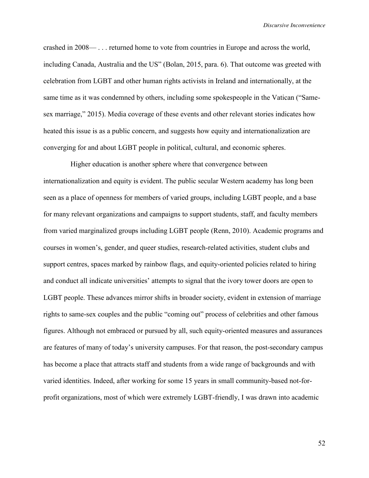crashed in 2008— . . . returned home to vote from countries in Europe and across the world, including Canada, Australia and the US" (Bolan, 2015, para. 6). That outcome was greeted with celebration from LGBT and other human rights activists in Ireland and internationally, at the same time as it was condemned by others, including some spokespeople in the Vatican ("Samesex marriage," 2015). Media coverage of these events and other relevant stories indicates how heated this issue is as a public concern, and suggests how equity and internationalization are converging for and about LGBT people in political, cultural, and economic spheres.

Higher education is another sphere where that convergence between internationalization and equity is evident. The public secular Western academy has long been seen as a place of openness for members of varied groups, including LGBT people, and a base for many relevant organizations and campaigns to support students, staff, and faculty members from varied marginalized groups including LGBT people (Renn, 2010). Academic programs and courses in women's, gender, and queer studies, research-related activities, student clubs and support centres, spaces marked by rainbow flags, and equity-oriented policies related to hiring and conduct all indicate universities' attempts to signal that the ivory tower doors are open to LGBT people. These advances mirror shifts in broader society, evident in extension of marriage rights to same-sex couples and the public "coming out" process of celebrities and other famous figures. Although not embraced or pursued by all, such equity-oriented measures and assurances are features of many of today's university campuses. For that reason, the post-secondary campus has become a place that attracts staff and students from a wide range of backgrounds and with varied identities. Indeed, after working for some 15 years in small community-based not-forprofit organizations, most of which were extremely LGBT-friendly, I was drawn into academic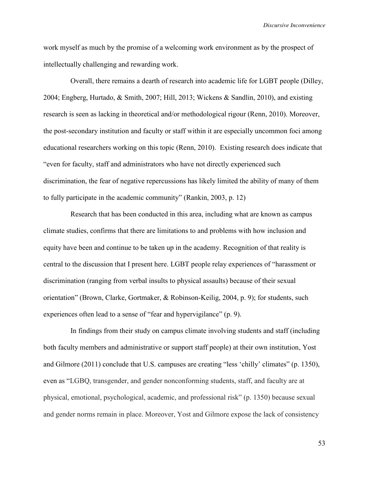*Discursive Inconvenience*

work myself as much by the promise of a welcoming work environment as by the prospect of intellectually challenging and rewarding work.

Overall, there remains a dearth of research into academic life for LGBT people (Dilley, 2004; Engberg, Hurtado, & Smith, 2007; Hill, 2013; Wickens & Sandlin, 2010), and existing research is seen as lacking in theoretical and/or methodological rigour (Renn, 2010). Moreover, the post-secondary institution and faculty or staff within it are especially uncommon foci among educational researchers working on this topic (Renn, 2010). Existing research does indicate that "even for faculty, staff and administrators who have not directly experienced such discrimination, the fear of negative repercussions has likely limited the ability of many of them to fully participate in the academic community" (Rankin, 2003, p. 12)

Research that has been conducted in this area, including what are known as campus climate studies, confirms that there are limitations to and problems with how inclusion and equity have been and continue to be taken up in the academy. Recognition of that reality is central to the discussion that I present here. LGBT people relay experiences of "harassment or discrimination (ranging from verbal insults to physical assaults) because of their sexual orientation" (Brown, Clarke, Gortmaker, & Robinson-Keilig, 2004, p. 9); for students, such experiences often lead to a sense of "fear and hypervigilance" (p. 9).

In findings from their study on campus climate involving students and staff (including both faculty members and administrative or support staff people) at their own institution, Yost and Gilmore (2011) conclude that U.S. campuses are creating "less 'chilly' climates" (p. 1350), even as "LGBQ, transgender, and gender nonconforming students, staff, and faculty are at physical, emotional, psychological, academic, and professional risk" (p. 1350) because sexual and gender norms remain in place. Moreover, Yost and Gilmore expose the lack of consistency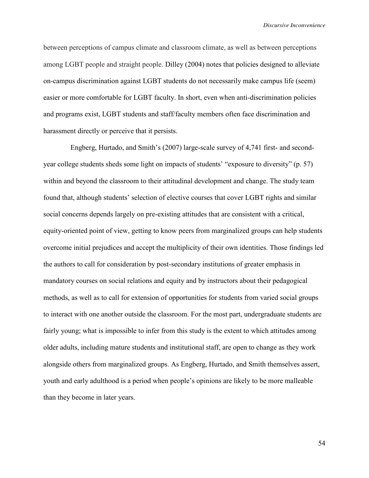between perceptions of campus climate and classroom climate, as well as between perceptions among LGBT people and straight people. Dilley (2004) notes that policies designed to alleviate on-campus discrimination against LGBT students do not necessarily make campus life (seem) easier or more comfortable for LGBT faculty. In short, even when anti-discrimination policies and programs exist, LGBT students and staff/faculty members often face discrimination and harassment directly or perceive that it persists.

Engberg, Hurtado, and Smith's (2007) large-scale survey of 4,741 first- and secondyear college students sheds some light on impacts of students' "exposure to diversity" (p. 57) within and beyond the classroom to their attitudinal development and change. The study team found that, although students' selection of elective courses that cover LGBT rights and similar social concerns depends largely on pre-existing attitudes that are consistent with a critical, equity-oriented point of view, getting to know peers from marginalized groups can help students overcome initial prejudices and accept the multiplicity of their own identities. Those findings led the authors to call for consideration by post-secondary institutions of greater emphasis in mandatory courses on social relations and equity and by instructors about their pedagogical methods, as well as to call for extension of opportunities for students from varied social groups to interact with one another outside the classroom. For the most part, undergraduate students are fairly young; what is impossible to infer from this study is the extent to which attitudes among older adults, including mature students and institutional staff, are open to change as they work alongside others from marginalized groups. As Engberg, Hurtado, and Smith themselves assert, youth and early adulthood is a period when people's opinions are likely to be more malleable than they become in later years.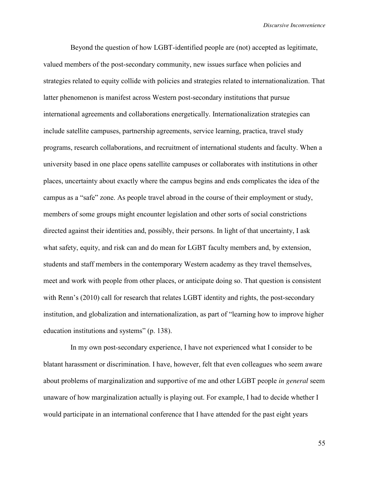Beyond the question of how LGBT-identified people are (not) accepted as legitimate, valued members of the post-secondary community, new issues surface when policies and strategies related to equity collide with policies and strategies related to internationalization. That latter phenomenon is manifest across Western post-secondary institutions that pursue international agreements and collaborations energetically. Internationalization strategies can include satellite campuses, partnership agreements, service learning, practica, travel study programs, research collaborations, and recruitment of international students and faculty. When a university based in one place opens satellite campuses or collaborates with institutions in other places, uncertainty about exactly where the campus begins and ends complicates the idea of the campus as a "safe" zone. As people travel abroad in the course of their employment or study, members of some groups might encounter legislation and other sorts of social constrictions directed against their identities and, possibly, their persons. In light of that uncertainty, I ask what safety, equity, and risk can and do mean for LGBT faculty members and, by extension, students and staff members in the contemporary Western academy as they travel themselves, meet and work with people from other places, or anticipate doing so. That question is consistent with Renn's (2010) call for research that relates LGBT identity and rights, the post-secondary institution, and globalization and internationalization, as part of "learning how to improve higher education institutions and systems" (p. 138).

In my own post-secondary experience, I have not experienced what I consider to be blatant harassment or discrimination. I have, however, felt that even colleagues who seem aware about problems of marginalization and supportive of me and other LGBT people *in general* seem unaware of how marginalization actually is playing out. For example, I had to decide whether I would participate in an international conference that I have attended for the past eight years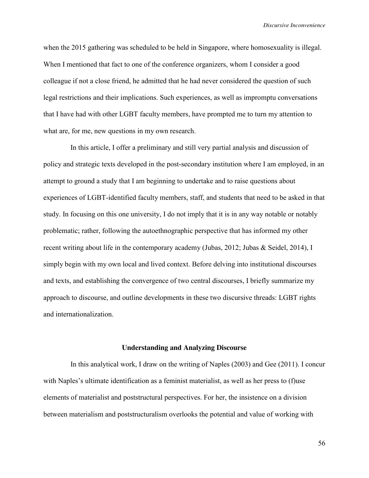when the 2015 gathering was scheduled to be held in Singapore, where homosexuality is illegal. When I mentioned that fact to one of the conference organizers, whom I consider a good colleague if not a close friend, he admitted that he had never considered the question of such legal restrictions and their implications. Such experiences, as well as impromptu conversations that I have had with other LGBT faculty members, have prompted me to turn my attention to what are, for me, new questions in my own research.

In this article, I offer a preliminary and still very partial analysis and discussion of policy and strategic texts developed in the post-secondary institution where I am employed, in an attempt to ground a study that I am beginning to undertake and to raise questions about experiences of LGBT-identified faculty members, staff, and students that need to be asked in that study. In focusing on this one university, I do not imply that it is in any way notable or notably problematic; rather, following the autoethnographic perspective that has informed my other recent writing about life in the contemporary academy (Jubas, 2012; Jubas & Seidel, 2014), I simply begin with my own local and lived context. Before delving into institutional discourses and texts, and establishing the convergence of two central discourses, I briefly summarize my approach to discourse, and outline developments in these two discursive threads: LGBT rights and internationalization.

#### **Understanding and Analyzing Discourse**

In this analytical work, I draw on the writing of Naples (2003) and Gee (2011). I concur with Naples's ultimate identification as a feminist materialist, as well as her press to (f)use elements of materialist and poststructural perspectives. For her, the insistence on a division between materialism and poststructuralism overlooks the potential and value of working with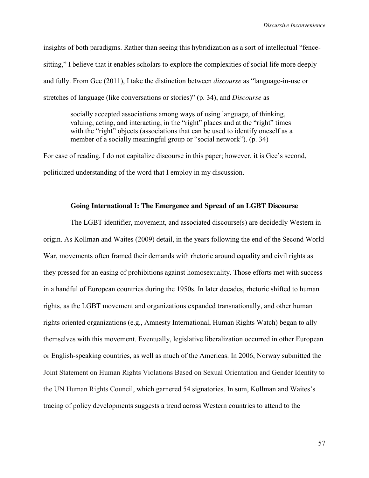insights of both paradigms. Rather than seeing this hybridization as a sort of intellectual "fencesitting," I believe that it enables scholars to explore the complexities of social life more deeply and fully. From Gee (2011), I take the distinction between *discourse* as "language-in-use or stretches of language (like conversations or stories)" (p. 34), and *Discourse* as

socially accepted associations among ways of using language, of thinking, valuing, acting, and interacting, in the "right" places and at the "right" times with the "right" objects (associations that can be used to identify oneself as a member of a socially meaningful group or "social network"). (p. 34)

For ease of reading, I do not capitalize discourse in this paper; however, it is Gee's second, politicized understanding of the word that I employ in my discussion.

## **Going International I: The Emergence and Spread of an LGBT Discourse**

The LGBT identifier, movement, and associated discourse(s) are decidedly Western in origin. As Kollman and Waites (2009) detail, in the years following the end of the Second World War, movements often framed their demands with rhetoric around equality and civil rights as they pressed for an easing of prohibitions against homosexuality. Those efforts met with success in a handful of European countries during the 1950s. In later decades, rhetoric shifted to human rights, as the LGBT movement and organizations expanded transnationally, and other human rights oriented organizations (e.g., Amnesty International, Human Rights Watch) began to ally themselves with this movement. Eventually, legislative liberalization occurred in other European or English-speaking countries, as well as much of the Americas. In 2006, Norway submitted the Joint Statement on Human Rights Violations Based on Sexual Orientation and Gender Identity to the UN Human Rights Council, which garnered 54 signatories. In sum, Kollman and Waites's tracing of policy developments suggests a trend across Western countries to attend to the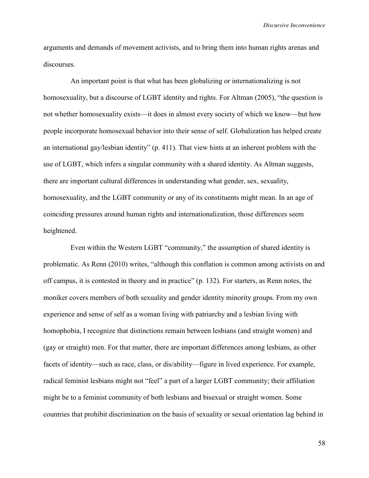arguments and demands of movement activists, and to bring them into human rights arenas and discourses.

An important point is that what has been globalizing or internationalizing is not homosexuality, but a discourse of LGBT identity and rights. For Altman (2005), "the question is not whether homosexuality exists—it does in almost every society of which we know—but how people incorporate homosexual behavior into their sense of self. Globalization has helped create an international gay/lesbian identity" (p. 411). That view hints at an inherent problem with the use of LGBT, which infers a singular community with a shared identity. As Altman suggests, there are important cultural differences in understanding what gender, sex, sexuality, homosexuality, and the LGBT community or any of its constituents might mean. In an age of coinciding pressures around human rights and internationalization, those differences seem heightened.

Even within the Western LGBT "community," the assumption of shared identity is problematic. As Renn (2010) writes, "although this conflation is common among activists on and off campus, it is contested in theory and in practice" (p. 132). For starters, as Renn notes, the moniker covers members of both sexuality and gender identity minority groups. From my own experience and sense of self as a woman living with patriarchy and a lesbian living with homophobia, I recognize that distinctions remain between lesbians (and straight women) and (gay or straight) men. For that matter, there are important differences among lesbians, as other facets of identity—such as race, class, or dis/ability—figure in lived experience. For example, radical feminist lesbians might not "feel" a part of a larger LGBT community; their affiliation might be to a feminist community of both lesbians and bisexual or straight women. Some countries that prohibit discrimination on the basis of sexuality or sexual orientation lag behind in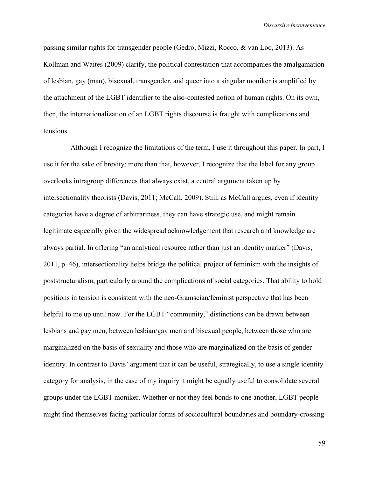passing similar rights for transgender people (Gedro, Mizzi, Rocco, & van Loo, 2013). As Kollman and Waites (2009) clarify, the political contestation that accompanies the amalgamation of lesbian, gay (man), bisexual, transgender, and queer into a singular moniker is amplified by the attachment of the LGBT identifier to the also-contested notion of human rights. On its own, then, the internationalization of an LGBT rights discourse is fraught with complications and tensions.

Although I recognize the limitations of the term, I use it throughout this paper. In part, I use it for the sake of brevity; more than that, however, I recognize that the label for any group overlooks intragroup differences that always exist, a central argument taken up by intersectionality theorists (Davis, 2011; McCall, 2009). Still, as McCall argues, even if identity categories have a degree of arbitrariness, they can have strategic use, and might remain legitimate especially given the widespread acknowledgement that research and knowledge are always partial. In offering "an analytical resource rather than just an identity marker" (Davis, 2011, p. 46), intersectionality helps bridge the political project of feminism with the insights of poststructuralism, particularly around the complications of social categories. That ability to hold positions in tension is consistent with the neo-Gramscian/feminist perspective that has been helpful to me up until now. For the LGBT "community," distinctions can be drawn between lesbians and gay men, between lesbian/gay men and bisexual people, between those who are marginalized on the basis of sexuality and those who are marginalized on the basis of gender identity. In contrast to Davis' argument that it can be useful, strategically, to use a single identity category for analysis, in the case of my inquiry it might be equally useful to consolidate several groups under the LGBT moniker. Whether or not they feel bonds to one another, LGBT people might find themselves facing particular forms of sociocultural boundaries and boundary-crossing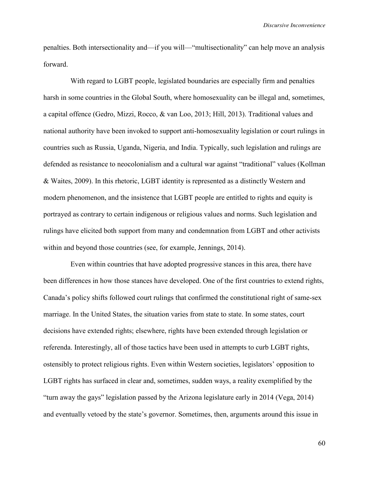penalties. Both intersectionality and—if you will—"multisectionality" can help move an analysis forward.

With regard to LGBT people, legislated boundaries are especially firm and penalties harsh in some countries in the Global South, where homosexuality can be illegal and, sometimes, a capital offence (Gedro, Mizzi, Rocco, & van Loo, 2013; Hill, 2013). Traditional values and national authority have been invoked to support anti-homosexuality legislation or court rulings in countries such as Russia, Uganda, Nigeria, and India. Typically, such legislation and rulings are defended as resistance to neocolonialism and a cultural war against "traditional" values (Kollman & Waites, 2009). In this rhetoric, LGBT identity is represented as a distinctly Western and modern phenomenon, and the insistence that LGBT people are entitled to rights and equity is portrayed as contrary to certain indigenous or religious values and norms. Such legislation and rulings have elicited both support from many and condemnation from LGBT and other activists within and beyond those countries (see, for example, Jennings, 2014).

Even within countries that have adopted progressive stances in this area, there have been differences in how those stances have developed. One of the first countries to extend rights, Canada's policy shifts followed court rulings that confirmed the constitutional right of same-sex marriage. In the United States, the situation varies from state to state. In some states, court decisions have extended rights; elsewhere, rights have been extended through legislation or referenda. Interestingly, all of those tactics have been used in attempts to curb LGBT rights, ostensibly to protect religious rights. Even within Western societies, legislators' opposition to LGBT rights has surfaced in clear and, sometimes, sudden ways, a reality exemplified by the "turn away the gays" legislation passed by the Arizona legislature early in 2014 (Vega, 2014) and eventually vetoed by the state's governor. Sometimes, then, arguments around this issue in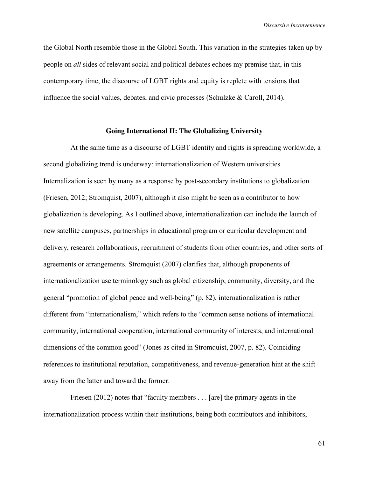*Discursive Inconvenience*

the Global North resemble those in the Global South. This variation in the strategies taken up by people on *all* sides of relevant social and political debates echoes my premise that, in this contemporary time, the discourse of LGBT rights and equity is replete with tensions that influence the social values, debates, and civic processes (Schulzke  $\&$  Caroll, 2014).

# **Going International II: The Globalizing University**

At the same time as a discourse of LGBT identity and rights is spreading worldwide, a second globalizing trend is underway: internationalization of Western universities. Internalization is seen by many as a response by post-secondary institutions to globalization (Friesen, 2012; Stromquist, 2007), although it also might be seen as a contributor to how globalization is developing. As I outlined above, internationalization can include the launch of new satellite campuses, partnerships in educational program or curricular development and delivery, research collaborations, recruitment of students from other countries, and other sorts of agreements or arrangements. Stromquist (2007) clarifies that, although proponents of internationalization use terminology such as global citizenship, community, diversity, and the general "promotion of global peace and well-being" (p. 82), internationalization is rather different from "internationalism," which refers to the "common sense notions of international community, international cooperation, international community of interests, and international dimensions of the common good" (Jones as cited in Stromquist, 2007, p. 82). Coinciding references to institutional reputation, competitiveness, and revenue-generation hint at the shift away from the latter and toward the former.

Friesen (2012) notes that "faculty members . . . [are] the primary agents in the internationalization process within their institutions, being both contributors and inhibitors,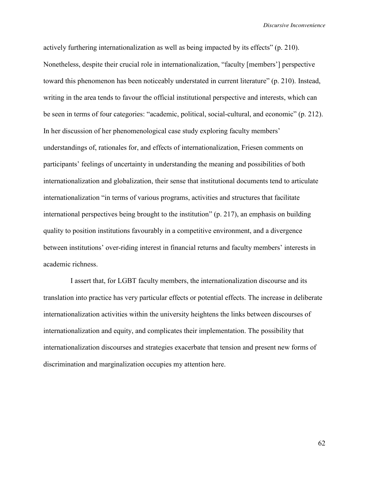actively furthering internationalization as well as being impacted by its effects" (p. 210). Nonetheless, despite their crucial role in internationalization, "faculty [members'] perspective toward this phenomenon has been noticeably understated in current literature" (p. 210). Instead, writing in the area tends to favour the official institutional perspective and interests, which can be seen in terms of four categories: "academic, political, social-cultural, and economic" (p. 212). In her discussion of her phenomenological case study exploring faculty members' understandings of, rationales for, and effects of internationalization, Friesen comments on participants' feelings of uncertainty in understanding the meaning and possibilities of both internationalization and globalization, their sense that institutional documents tend to articulate internationalization "in terms of various programs, activities and structures that facilitate international perspectives being brought to the institution" (p. 217), an emphasis on building quality to position institutions favourably in a competitive environment, and a divergence between institutions' over-riding interest in financial returns and faculty members' interests in academic richness.

I assert that, for LGBT faculty members, the internationalization discourse and its translation into practice has very particular effects or potential effects. The increase in deliberate internationalization activities within the university heightens the links between discourses of internationalization and equity, and complicates their implementation. The possibility that internationalization discourses and strategies exacerbate that tension and present new forms of discrimination and marginalization occupies my attention here.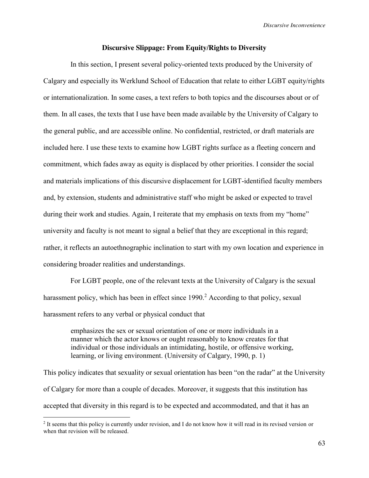*Discursive Inconvenience*

### **Discursive Slippage: From Equity/Rights to Diversity**

In this section, I present several policy-oriented texts produced by the University of Calgary and especially its Werklund School of Education that relate to either LGBT equity/rights or internationalization. In some cases, a text refers to both topics and the discourses about or of them. In all cases, the texts that I use have been made available by the University of Calgary to the general public, and are accessible online. No confidential, restricted, or draft materials are included here. I use these texts to examine how LGBT rights surface as a fleeting concern and commitment, which fades away as equity is displaced by other priorities. I consider the social and materials implications of this discursive displacement for LGBT-identified faculty members and, by extension, students and administrative staff who might be asked or expected to travel during their work and studies. Again, I reiterate that my emphasis on texts from my "home" university and faculty is not meant to signal a belief that they are exceptional in this regard; rather, it reflects an autoethnographic inclination to start with my own location and experience in considering broader realities and understandings.

For LGBT people, one of the relevant texts at the University of Calgary is the sexual harassment policy, which has been in effect since  $1990<sup>2</sup>$  According to that policy, sexual harassment refers to any verbal or physical conduct that

> emphasizes the sex or sexual orientation of one or more individuals in a manner which the actor knows or ought reasonably to know creates for that individual or those individuals an intimidating, hostile, or offensive working, learning, or living environment. (University of Calgary, 1990, p. 1)

This policy indicates that sexuality or sexual orientation has been "on the radar" at the University of Calgary for more than a couple of decades. Moreover, it suggests that this institution has accepted that diversity in this regard is to be expected and accommodated, and that it has an

 $\overline{a}$ 

<sup>&</sup>lt;sup>2</sup> It seems that this policy is currently under revision, and I do not know how it will read in its revised version or when that revision will be released.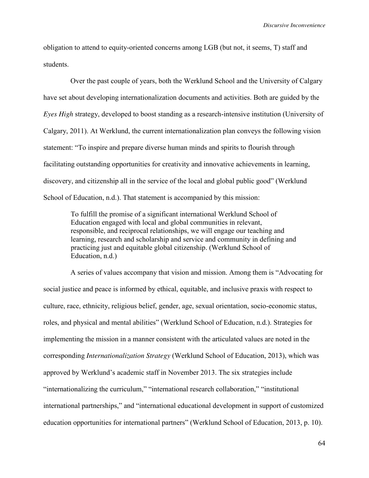obligation to attend to equity-oriented concerns among LGB (but not, it seems, T) staff and students.

Over the past couple of years, both the Werklund School and the University of Calgary have set about developing internationalization documents and activities. Both are guided by the *Eyes High* strategy, developed to boost standing as a research-intensive institution (University of Calgary, 2011). At Werklund, the current internationalization plan conveys the following vision statement: "To inspire and prepare diverse human minds and spirits to flourish through facilitating outstanding opportunities for creativity and innovative achievements in learning, discovery, and citizenship all in the service of the local and global public good" (Werklund School of Education, n.d.). That statement is accompanied by this mission:

To fulfill the promise of a significant international Werklund School of Education engaged with local and global communities in relevant, responsible, and reciprocal relationships, we will engage our teaching and learning, research and scholarship and service and community in defining and practicing just and equitable global citizenship. (Werklund School of Education, n.d.)

A series of values accompany that vision and mission. Among them is "Advocating for social justice and peace is informed by ethical, equitable, and inclusive praxis with respect to culture, race, ethnicity, religious belief, gender, age, sexual orientation, socio-economic status, roles, and physical and mental abilities" (Werklund School of Education, n.d.). Strategies for implementing the mission in a manner consistent with the articulated values are noted in the corresponding *Internationalization Strategy* (Werklund School of Education, 2013), which was approved by Werklund's academic staff in November 2013. The six strategies include "internationalizing the curriculum," "international research collaboration," "institutional international partnerships," and "international educational development in support of customized education opportunities for international partners" (Werklund School of Education, 2013, p. 10).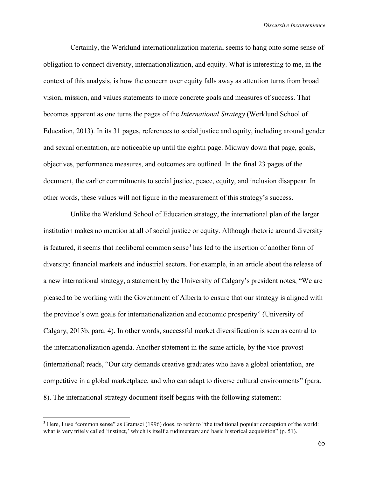Certainly, the Werklund internationalization material seems to hang onto some sense of obligation to connect diversity, internationalization, and equity. What is interesting to me, in the context of this analysis, is how the concern over equity falls away as attention turns from broad vision, mission, and values statements to more concrete goals and measures of success. That becomes apparent as one turns the pages of the *International Strategy* (Werklund School of Education, 2013). In its 31 pages, references to social justice and equity, including around gender and sexual orientation, are noticeable up until the eighth page. Midway down that page, goals, objectives, performance measures, and outcomes are outlined. In the final 23 pages of the document, the earlier commitments to social justice, peace, equity, and inclusion disappear. In other words, these values will not figure in the measurement of this strategy's success.

Unlike the Werklund School of Education strategy, the international plan of the larger institution makes no mention at all of social justice or equity. Although rhetoric around diversity is featured, it seems that neoliberal common sense<sup>3</sup> has led to the insertion of another form of diversity: financial markets and industrial sectors. For example, in an article about the release of a new international strategy, a statement by the University of Calgary's president notes, "We are pleased to be working with the Government of Alberta to ensure that our strategy is aligned with the province's own goals for internationalization and economic prosperity" (University of Calgary, 2013b, para. 4). In other words, successful market diversification is seen as central to the internationalization agenda. Another statement in the same article, by the vice-provost (international) reads, "Our city demands creative graduates who have a global orientation, are competitive in a global marketplace, and who can adapt to diverse cultural environments" (para. 8). The international strategy document itself begins with the following statement:

 $\overline{a}$ 

<sup>&</sup>lt;sup>3</sup> Here, I use "common sense" as Gramsci (1996) does, to refer to "the traditional popular conception of the world: what is very tritely called 'instinct,' which is itself a rudimentary and basic historical acquisition" (p. 51).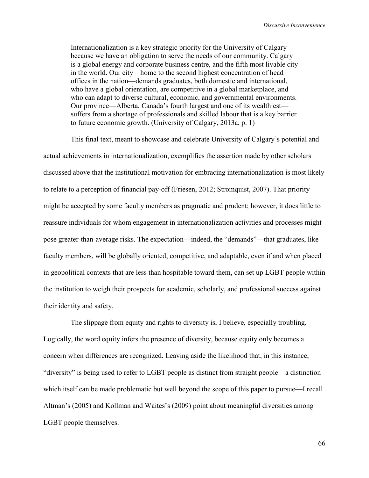Internationalization is a key strategic priority for the University of Calgary because we have an obligation to serve the needs of our community. Calgary is a global energy and corporate business centre, and the fifth most livable city in the world. Our city—home to the second highest concentration of head offices in the nation—demands graduates, both domestic and international, who have a global orientation, are competitive in a global marketplace, and who can adapt to diverse cultural, economic, and governmental environments. Our province—Alberta, Canada's fourth largest and one of its wealthiest suffers from a shortage of professionals and skilled labour that is a key barrier to future economic growth. (University of Calgary, 2013a, p. 1)

This final text, meant to showcase and celebrate University of Calgary's potential and actual achievements in internationalization, exemplifies the assertion made by other scholars discussed above that the institutional motivation for embracing internationalization is most likely to relate to a perception of financial pay-off (Friesen, 2012; Stromquist, 2007). That priority might be accepted by some faculty members as pragmatic and prudent; however, it does little to reassure individuals for whom engagement in internationalization activities and processes might pose greater-than-average risks. The expectation—indeed, the "demands"—that graduates, like faculty members, will be globally oriented, competitive, and adaptable, even if and when placed in geopolitical contexts that are less than hospitable toward them, can set up LGBT people within the institution to weigh their prospects for academic, scholarly, and professional success against their identity and safety.

The slippage from equity and rights to diversity is, I believe, especially troubling. Logically, the word equity infers the presence of diversity, because equity only becomes a concern when differences are recognized. Leaving aside the likelihood that, in this instance, "diversity" is being used to refer to LGBT people as distinct from straight people—a distinction which itself can be made problematic but well beyond the scope of this paper to pursue—I recall Altman's (2005) and Kollman and Waites's (2009) point about meaningful diversities among LGBT people themselves.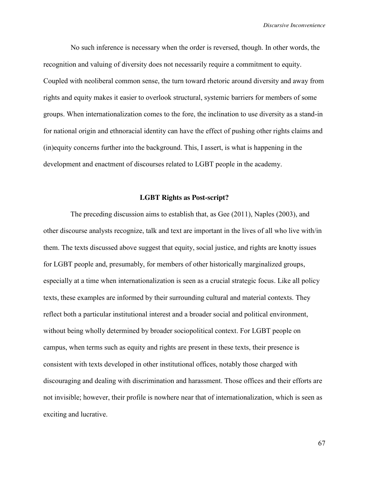No such inference is necessary when the order is reversed, though. In other words, the recognition and valuing of diversity does not necessarily require a commitment to equity. Coupled with neoliberal common sense, the turn toward rhetoric around diversity and away from rights and equity makes it easier to overlook structural, systemic barriers for members of some groups. When internationalization comes to the fore, the inclination to use diversity as a stand-in for national origin and ethnoracial identity can have the effect of pushing other rights claims and (in)equity concerns further into the background. This, I assert, is what is happening in the development and enactment of discourses related to LGBT people in the academy.

## **LGBT Rights as Post-script?**

The preceding discussion aims to establish that, as Gee (2011), Naples (2003), and other discourse analysts recognize, talk and text are important in the lives of all who live with/in them. The texts discussed above suggest that equity, social justice, and rights are knotty issues for LGBT people and, presumably, for members of other historically marginalized groups, especially at a time when internationalization is seen as a crucial strategic focus. Like all policy texts, these examples are informed by their surrounding cultural and material contexts. They reflect both a particular institutional interest and a broader social and political environment, without being wholly determined by broader sociopolitical context. For LGBT people on campus, when terms such as equity and rights are present in these texts, their presence is consistent with texts developed in other institutional offices, notably those charged with discouraging and dealing with discrimination and harassment. Those offices and their efforts are not invisible; however, their profile is nowhere near that of internationalization, which is seen as exciting and lucrative.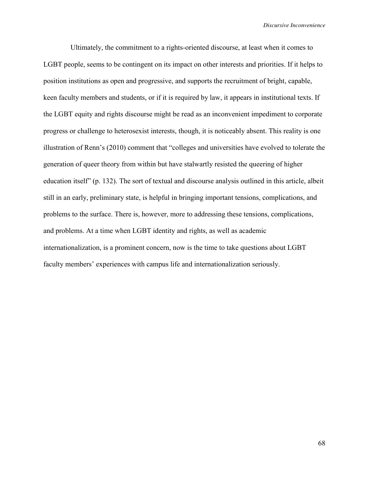Ultimately, the commitment to a rights-oriented discourse, at least when it comes to LGBT people, seems to be contingent on its impact on other interests and priorities. If it helps to position institutions as open and progressive, and supports the recruitment of bright, capable, keen faculty members and students, or if it is required by law, it appears in institutional texts. If the LGBT equity and rights discourse might be read as an inconvenient impediment to corporate progress or challenge to heterosexist interests, though, it is noticeably absent. This reality is one illustration of Renn's (2010) comment that "colleges and universities have evolved to tolerate the generation of queer theory from within but have stalwartly resisted the queering of higher education itself" (p. 132). The sort of textual and discourse analysis outlined in this article, albeit still in an early, preliminary state, is helpful in bringing important tensions, complications, and problems to the surface. There is, however, more to addressing these tensions, complications, and problems. At a time when LGBT identity and rights, as well as academic internationalization, is a prominent concern, now is the time to take questions about LGBT faculty members' experiences with campus life and internationalization seriously.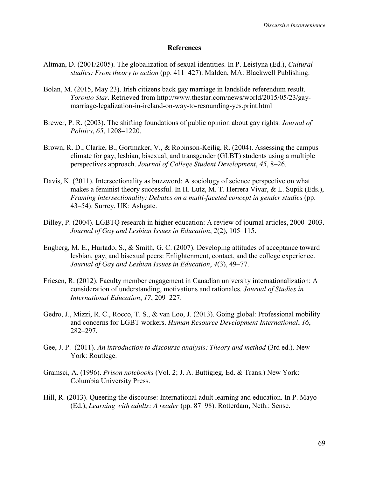### **References**

- Altman, D. (2001/2005). The globalization of sexual identities. In P. Leistyna (Ed.), *Cultural studies: From theory to action* (pp. 411–427). Malden, MA: Blackwell Publishing.
- Bolan, M. (2015, May 23). Irish citizens back gay marriage in landslide referendum result. *Toronto Star*. Retrieved from http://www.thestar.com/news/world/2015/05/23/gaymarriage-legalization-in-ireland-on-way-to-resounding-yes.print.html
- Brewer, P. R. (2003). The shifting foundations of public opinion about gay rights. *Journal of Politics*, *65*, 1208–1220.
- Brown, R. D., Clarke, B., Gortmaker, V., & Robinson-Keilig, R. (2004). Assessing the campus climate for gay, lesbian, bisexual, and transgender (GLBT) students using a multiple perspectives approach. *Journal of College Student Development*, *45*, 8–26.
- Davis, K. (2011). Intersectionality as buzzword: A sociology of science perspective on what makes a feminist theory successful. In H. Lutz, M. T. Herrera Vivar, & L. Supik (Eds.), *Framing intersectionality: Debates on a multi-faceted concept in gender studies* (pp. 43–54). Surrey, UK: Ashgate.
- Dilley, P. (2004). LGBTQ research in higher education: A review of journal articles, 2000–2003. *Journal of Gay and Lesbian Issues in Education*, *2*(2), 105–115.
- Engberg, M. E., Hurtado, S., & Smith, G. C. (2007). Developing attitudes of acceptance toward lesbian, gay, and bisexual peers: Enlightenment, contact, and the college experience. *Journal of Gay and Lesbian Issues in Education*, *4*(3), 49–77.
- Friesen, R. (2012). Faculty member engagement in Canadian university internationalization: A consideration of understanding, motivations and rationales. *Journal of Studies in International Education*, *17*, 209–227.
- Gedro, J., Mizzi, R. C., Rocco, T. S., & van Loo, J. (2013). Going global: Professional mobility and concerns for LGBT workers. *Human Resource Development International*, *16*, 282–297.
- Gee, J. P. (2011). *An introduction to discourse analysis: Theory and method* (3rd ed.). New York: Routlege.
- Gramsci, A. (1996). *Prison notebooks* (Vol. 2; J. A. Buttigieg, Ed. & Trans.) New York: Columbia University Press.
- Hill, R. (2013). Queering the discourse: International adult learning and education. In P. Mayo (Ed.), *Learning with adults: A reader* (pp. 87–98). Rotterdam, Neth.: Sense.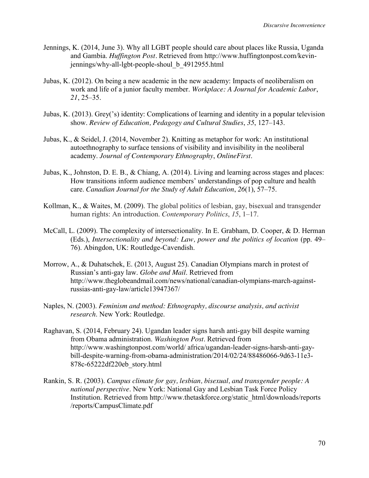- Jennings, K. (2014, June 3). Why all LGBT people should care about places like Russia, Uganda and Gambia. *Huffington Post.* Retrieved from http://www.huffingtonpost.com/kevinjennings/why-all-lgbt-people-shoul\_b\_4912955.html
- Jubas, K. (2012). On being a new academic in the new academy: Impacts of neoliberalism on work and life of a junior faculty member. *Workplace: A Journal for Academic Labor*, *21*, 25–35.
- Jubas, K. (2013). Grey('s) identity: Complications of learning and identity in a popular television show. *Review of Education, Pedagogy and Cultural Studies*, *35*, 127–143.
- Jubas, K., & Seidel, J. (2014, November 2). Knitting as metaphor for work: An institutional autoethnography to surface tensions of visibility and invisibility in the neoliberal academy. *Journal of Contemporary Ethnography*, *OnlineFirst*.
- Jubas, K., Johnston, D. E. B., & Chiang, A. (2014). Living and learning across stages and places: How transitions inform audience members' understandings of pop culture and health care. *Canadian Journal for the Study of Adult Education*, *26*(1), 57–75.
- Kollman, K., & Waites, M. (2009). The global politics of lesbian, gay, bisexual and transgender human rights: An introduction. *Contemporary Politics*, *15*, 1–17.
- McCall, L. (2009). The complexity of intersectionality. In E. Grabham, D. Cooper, & D. Herman (Eds.), *Intersectionality and beyond: Law, power and the politics of location* (pp. 49– 76). Abingdon, UK: Routledge-Cavendish.
- Morrow, A., & Duhatschek, E. (2013, August 25). Canadian Olympians march in protest of Russian's anti-gay law. *Globe and Mail*. Retrieved from http://www.theglobeandmail.com/news/national/canadian-olympians-march-againstrussias-anti-gay-law/article13947367/
- Naples, N. (2003). *Feminism and method: Ethnography, discourse analysis, and activist research*. New York: Routledge.
- Raghavan, S. (2014, February 24). Ugandan leader signs harsh anti-gay bill despite warning from Obama administration. *Washington Post*. Retrieved from http://www.washingtonpost.com/world/ africa/ugandan-leader-signs-harsh-anti-gaybill-despite-warning-from-obama-administration/2014/02/24/88486066-9d63-11e3- 878c-65222df220eb\_story.html
- Rankin, S. R. (2003). *Campus climate for gay, lesbian, bisexual, and transgender people: A national perspective*. New York: National Gay and Lesbian Task Force Policy Institution. Retrieved from http://www.thetaskforce.org/static\_html/downloads/reports /reports/CampusClimate.pdf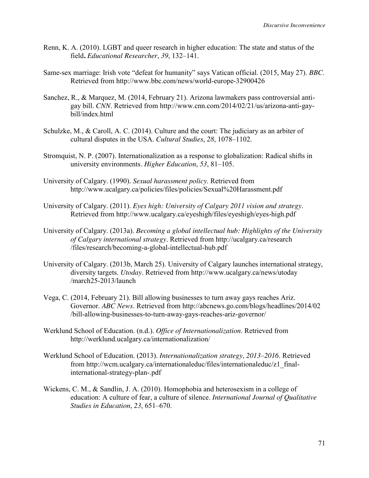- Renn, K. A. (2010). LGBT and queer research in higher education: The state and status of the field**.** *Educational Researcher*, *39*, 132–141.
- Same-sex marriage: Irish vote "defeat for humanity" says Vatican official. (2015, May 27). *BBC*. Retrieved from http://www.bbc.com/news/world-europe-32900426
- Sanchez, R., & Marquez, M. (2014, February 21). Arizona lawmakers pass controversial antigay bill. *CNN*. Retrieved from http://www.cnn.com/2014/02/21/us/arizona-anti-gaybill/index.html
- Schulzke, M., & Caroll, A. C. (2014). Culture and the court: The judiciary as an arbiter of cultural disputes in the USA. *Cultural Studies*, *28*, 1078–1102.
- Stromquist, N. P. (2007). Internationalization as a response to globalization: Radical shifts in university environments*. Higher Education*, *53*, 81–105.
- University of Calgary. (1990). *Sexual harassment policy*. Retrieved from http://www.ucalgary.ca/policies/files/policies/Sexual%20Harassment.pdf
- University of Calgary. (2011). *Eyes high: University of Calgary 2011 vision and strategy*. Retrieved from http://www.ucalgary.ca/eyeshigh/files/eyeshigh/eyes-high.pdf
- University of Calgary. (2013a). *Becoming a global intellectual hub: Highlights of the University of Calgary international strategy*. Retrieved from http://ucalgary.ca/research /files/research/becoming-a-global-intellectual-hub.pdf
- University of Calgary. (2013b, March 25). University of Calgary launches international strategy, diversity targets. *Utoday*. Retrieved from http://www.ucalgary.ca/news/utoday /march25-2013/launch
- Vega, C. (2014, February 21). Bill allowing businesses to turn away gays reaches Ariz. Governor. *ABC News*. Retrieved from http://abcnews.go.com/blogs/headlines/2014/02 /bill-allowing-businesses-to-turn-away-gays-reaches-ariz-governor/
- Werklund School of Education. (n.d.). *Office of Internationalization*. Retrieved from http://werklund.ucalgary.ca/internationalization/
- Werklund School of Education. (2013). *Internationalization strategy, 2013–2016*. Retrieved from http://wcm.ucalgary.ca/internationaleduc/files/internationaleduc/z1\_finalinternational-strategy-plan-.pdf
- Wickens, C. M., & Sandlin, J. A. (2010). Homophobia and heterosexism in a college of education: A culture of fear, a culture of silence. *International Journal of Qualitative Studies in Education*, *23*, 651–670.